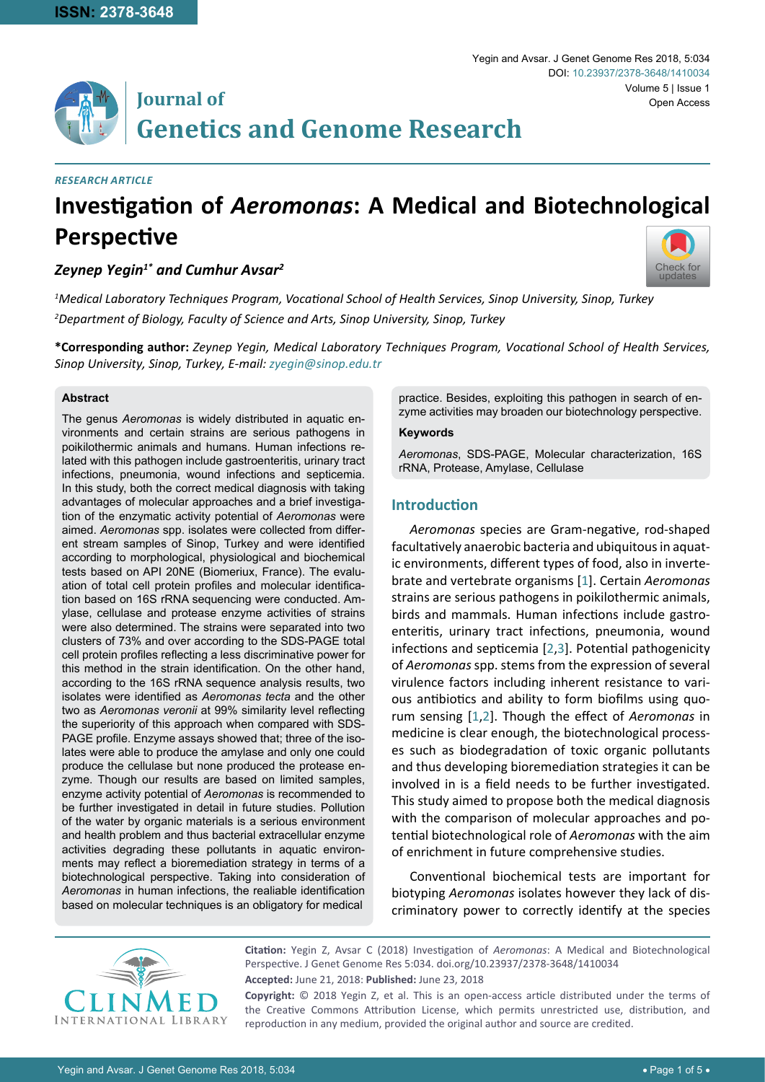# **Journal of Genetics and Genome Research**

#### *Research Article*

# **Investigation of** *Aeromonas***: A Medical and Biotechnological Perspective**

# *Zeynep Yegin1\* and Cumhur Avsar2*



*1 Medical Laboratory Techniques Program, Vocational School of Health Services, Sinop University, Sinop, Turkey 2 Department of Biology, Faculty of Science and Arts, Sinop University, Sinop, Turkey*

**\*Corresponding author:** *Zeynep Yegin, Medical Laboratory Techniques Program, Vocational School of Health Services, Sinop University, Sinop, Turkey, E-mail: zyegin@sinop.edu.tr*

#### **Abstract**

The genus *Aeromonas* is widely distributed in aquatic environments and certain strains are serious pathogens in poikilothermic animals and humans. Human infections related with this pathogen include gastroenteritis, urinary tract infections, pneumonia, wound infections and septicemia. In this study, both the correct medical diagnosis with taking advantages of molecular approaches and a brief investigation of the enzymatic activity potential of *Aeromonas* were aimed. *Aeromonas* spp. isolates were collected from different stream samples of Sinop, Turkey and were identified according to morphological, physiological and biochemical tests based on API 20NE (Biomeriux, France). The evaluation of total cell protein profiles and molecular identification based on 16S rRNA sequencing were conducted. Amylase, cellulase and protease enzyme activities of strains were also determined. The strains were separated into two clusters of 73% and over according to the SDS-PAGE total cell protein profiles reflecting a less discriminative power for this method in the strain identification. On the other hand, according to the 16S rRNA sequence analysis results, two isolates were identified as *Aeromonas tecta* and the other two as *Aeromonas veronii* at 99% similarity level reflecting the superiority of this approach when compared with SDS-PAGE profile. Enzyme assays showed that; three of the isolates were able to produce the amylase and only one could produce the cellulase but none produced the protease enzyme. Though our results are based on limited samples, enzyme activity potential of *Aeromonas* is recommended to be further investigated in detail in future studies. Pollution of the water by organic materials is a serious environment and health problem and thus bacterial extracellular enzyme activities degrading these pollutants in aquatic environments may reflect a bioremediation strategy in terms of a biotechnological perspective. Taking into consideration of *Aeromonas* in human infections, the realiable identification based on molecular techniques is an obligatory for medical

practice. Besides, exploiting this pathogen in search of enzyme activities may broaden our biotechnology perspective.

#### **Keywords**

*Aeromonas*, SDS-PAGE, Molecular characterization, 16S rRNA, Protease, Amylase, Cellulase

# **Introduction**

*Aeromonas* species are Gram-negative, rod-shaped facultatively anaerobic bacteria and ubiquitous in aquatic environments, different types of food, also in invertebrate and vertebrate organisms [[1](#page-4-0)]. Certain *Aeromonas* strains are serious pathogens in poikilothermic animals, birds and mammals. Human infections include gastroenteritis, urinary tract infections, pneumonia, wound infections and septicemia [[2](#page-4-1),[3\]](#page-4-2). Potential pathogenicity of *Aeromonas* spp. stems from the expression of several virulence factors including inherent resistance to various antibiotics and ability to form biofilms using quorum sensing [[1](#page-4-0),[2](#page-4-1)]. Though the effect of *Aeromonas* in medicine is clear enough, the biotechnological processes such as biodegradation of toxic organic pollutants and thus developing bioremediation strategies it can be involved in is a field needs to be further investigated. This study aimed to propose both the medical diagnosis with the comparison of molecular approaches and potential biotechnological role of *Aeromonas* with the aim of enrichment in future comprehensive studies.

Conventional biochemical tests are important for biotyping *Aeromonas* isolates however they lack of discriminatory power to correctly identify at the species



**Citation:** Yegin Z, Avsar C (2018) Investigation of *Aeromonas*: A Medical and Biotechnological Perspective. J Genet Genome Res 5:034. [doi.org/10.23937/2378-3648/1410034](https://doi.org/10.23937/2378-3648/1410034) **Accepted:** June 21, 2018: **Published:** June 23, 2018 **Copyright:** © 2018 Yegin Z, et al. This is an open-access article distributed under the terms of

the Creative Commons Attribution License, which permits unrestricted use, distribution, and reproduction in any medium, provided the original author and source are credited.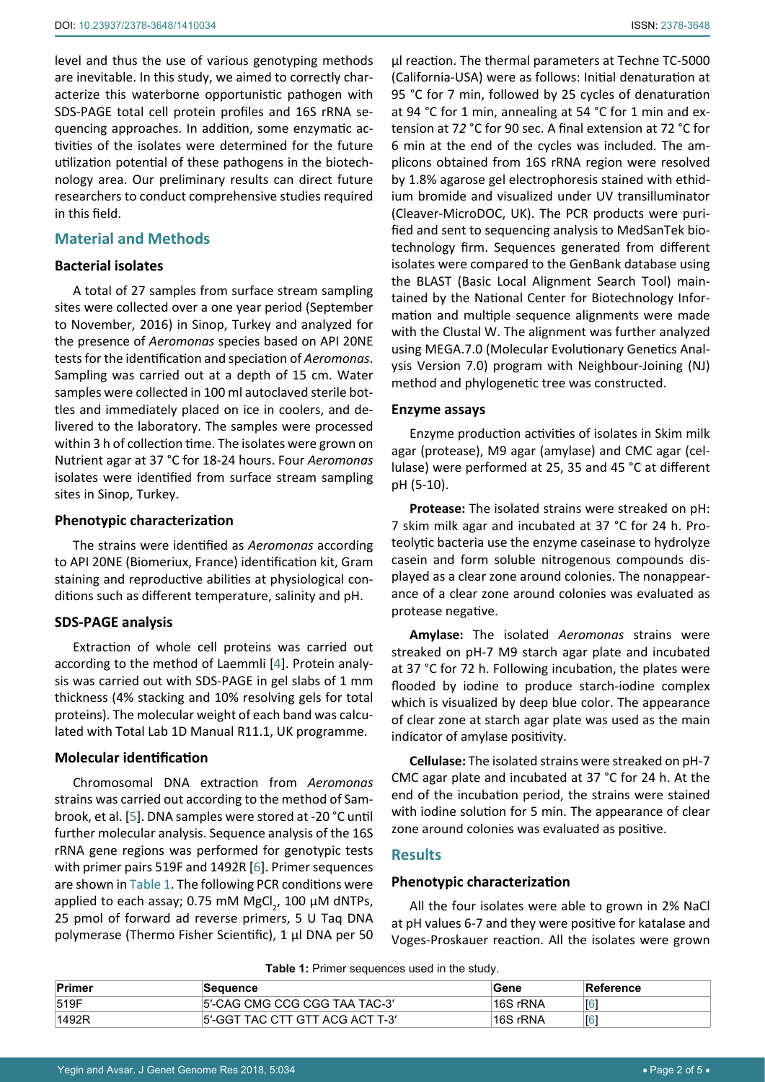level and thus the use of various genotyping methods are inevitable. In this study, we aimed to correctly characterize this waterborne opportunistic pathogen with SDS-PAGE total cell protein profiles and 16S rRNA sequencing approaches. In addition, some enzymatic activities of the isolates were determined for the future utilization potential of these pathogens in the biotechnology area. Our preliminary results can direct future researchers to conduct comprehensive studies required in this field.

# **Material and Methods**

## **Bacterial isolates**

A total of 27 samples from surface stream sampling sites were collected over a one year period (September to November, 2016) in Sinop, Turkey and analyzed for the presence of *Aeromonas* species based on API 20NE tests for the identification and speciation of *Aeromonas*. Sampling was carried out at a depth of 15 cm. Water samples were collected in 100 ml autoclaved sterile bottles and immediately placed on ice in coolers, and delivered to the laboratory. The samples were processed within 3 h of collection time. The isolates were grown on Nutrient agar at 37 °C for 18-24 hours. Four *Aeromonas* isolates were identified from surface stream sampling sites in Sinop, Turkey.

### **Phenotypic characterization**

The strains were identified as *Aeromonas* according to API 20NE (Biomeriux, France) identification kit, Gram staining and reproductive abilities at physiological conditions such as different temperature, salinity and pH.

# **SDS-PAGE analysis**

Extraction of whole cell proteins was carried out according to the method of Laemmli [\[4\]](#page-4-3). Protein analysis was carried out with SDS-PAGE in gel slabs of 1 mm thickness (4% stacking and 10% resolving gels for total proteins). The molecular weight of each band was calculated with Total Lab 1D Manual R11.1, UK programme.

# **Molecular identification**

Chromosomal DNA extraction from *Aeromonas* strains was carried out according to the method of Sambrook, et al. [[5](#page-4-4)]. DNA samples were stored at -20 °C until further molecular analysis. Sequence analysis of the 16S rRNA gene regions was performed for genotypic tests with primer pairs 519F and 1492R [\[6\]](#page-4-5). Primer sequences are shown in [Table 1.](#page-1-0) The following PCR conditions were applied to each assay; 0.75 mM MgCl<sub>2</sub>, 100  $\mu$ M dNTPs, 25 pmol of forward ad reverse primers, 5 U Taq DNA polymerase (Thermo Fisher Scientific), 1 µl DNA per 50

µl reaction. The thermal parameters at Techne TC-5000 (California-USA) were as follows: Initial denaturation at 95 °C for 7 min, followed by 25 cycles of denaturation at 94 °C for 1 min, annealing at 54 °C for 1 min and extension at 7*2* °C for 90 sec. A final extension at 72 °C for 6 min at the end of the cycles was included. The amplicons obtained from 16S rRNA region were resolved by 1.8% agarose gel electrophoresis stained with ethidium bromide and visualized under UV transilluminator (Cleaver-MicroDOC, UK). The PCR products were purified and sent to sequencing analysis to MedSanTek biotechnology firm. Sequences generated from different isolates were compared to the GenBank database using the BLAST (Basic Local Alignment Search Tool) maintained by the National Center for Biotechnology Information and multiple sequence alignments were made with the Clustal W. The alignment was further analyzed using MEGA.7.0 (Molecular Evolutionary Genetics Analysis Version 7.0) program with Neighbour-Joining (NJ) method and phylogenetic tree was constructed.

### **Enzyme assays**

Enzyme production activities of isolates in Skim milk agar (protease), M9 agar (amylase) and CMC agar (cellulase) were performed at 25, 35 and 45 °C at different pH (5-10).

**Protease:** The isolated strains were streaked on pH: 7 skim milk agar and incubated at 37 °C for 24 h. Proteolytic bacteria use the enzyme caseinase to hydrolyze casein and form soluble nitrogenous compounds displayed as a clear zone around colonies. The nonappearance of a clear zone around colonies was evaluated as protease negative.

**Amylase:** The isolated *Aeromonas* strains were streaked on pH-7 M9 starch agar plate and incubated at 37 °C for 72 h. Following incubation, the plates were flooded by iodine to produce starch-iodine complex which is visualized by deep blue color. The appearance of clear zone at starch agar plate was used as the main indicator of amylase positivity.

**Cellulase:** The isolated strains were streaked on pH-7 CMC agar plate and incubated at 37 °C for 24 h. At the end of the incubation period, the strains were stained with iodine solution for 5 min. The appearance of clear zone around colonies was evaluated as positive.

# **Results**

# **Phenotypic characterization**

All the four isolates were able to grown in 2% NaCl at pH values 6-7 and they were positive for katalase and Voges-Proskauer reaction. All the isolates were grown

<span id="page-1-0"></span>**Table 1:** Primer sequences used in the study.

| ∣Primer | Sequence                        | Gene      | Reference |
|---------|---------------------------------|-----------|-----------|
| 519F    | 5'-CAG CMG CCG CGG TAA TAC-3'   | '16S rRNA |           |
| 1492R   | 5'-GGT TAC CTT GTT ACG ACT T-3' | '16S rRNA |           |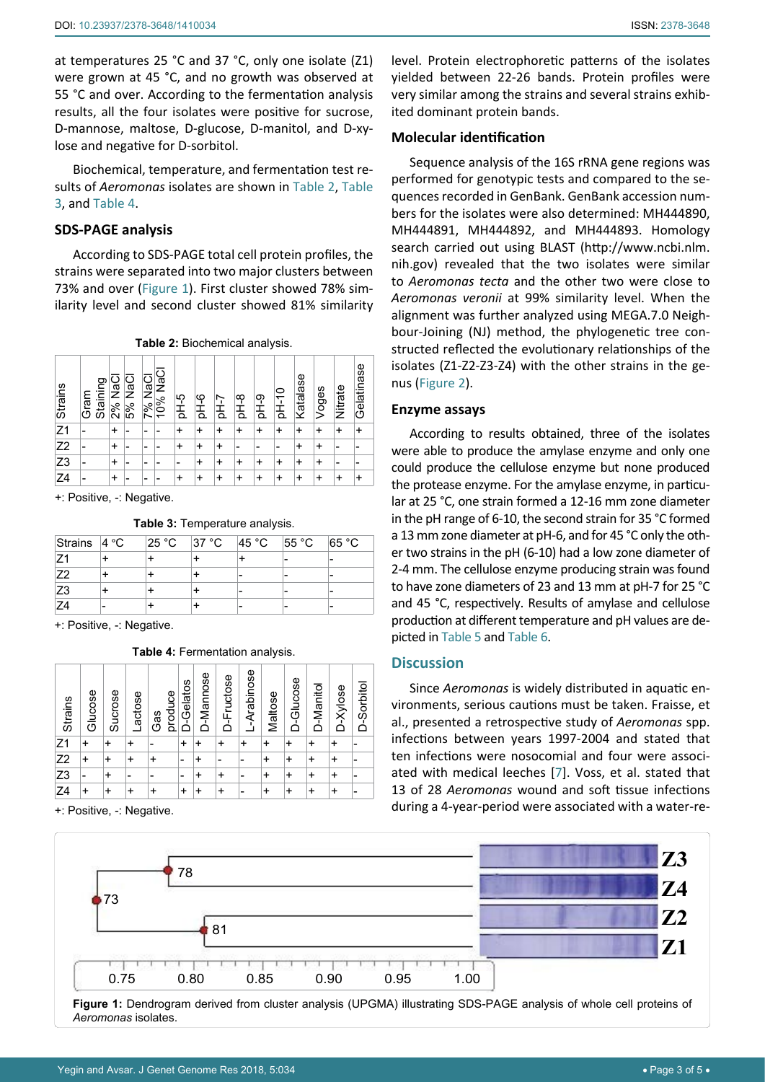at temperatures 25 °C and 37 °C, only one isolate (Z1) were grown at 45 °C, and no growth was observed at 55 °C and over. According to the fermentation analysis results, all the four isolates were positive for sucrose, D-mannose, maltose, D-glucose, D-manitol, and D-xylose and negative for D-sorbitol.

Biochemical, temperature, and fermentation test results of *Aeromonas* isolates are shown in [Table 2](#page-2-0), [Table](#page-2-1)  [3](#page-2-1), and [Table 4](#page-2-2).

# **SDS-PAGE analysis**

According to SDS-PAGE total cell protein profiles, the strains were separated into two major clusters between 73% and over ([Figure 1](#page-2-3)). First cluster showed 78% similarity level and second cluster showed 81% similarity

<span id="page-2-0"></span>**Table 2:** Biochemical analysis.

| Strains        | Staining<br>Gram | ក្ខ<br>ខ<br>2% | 5% NaC | ក្ខ<br>ខ<br>7% | 10% NaC | 9-Ho | PH-6 | 7<br>동 | ထု<br>玉 | PH-9 | $D$ H-10 | Katalase | Voges | Nitrate | Gelatinase |
|----------------|------------------|----------------|--------|----------------|---------|------|------|--------|---------|------|----------|----------|-------|---------|------------|
| Z <sub>1</sub> |                  | $\ddot{}$      |        |                |         | +    | ÷    | +      | +       | +    | ٠        | +        | +     |         |            |
| Z <sub>2</sub> |                  | +              |        |                |         |      | +    |        |         |      |          | +        | ÷     |         |            |
| Z3             |                  | $\ddot{}$      |        |                |         |      | +    | ÷      |         | ÷    |          | +        | ÷     |         |            |
| Z <sub>4</sub> |                  | +              |        |                |         |      | +    | ÷      | +       | ÷    | +        | ÷        | +     |         |            |

+: Positive, -: Negative.

<span id="page-2-1"></span>**Table 3:** Temperature analysis.

| Strains $ 4 \textdegree C $ |   | $25^{\circ}$ C | 37 °C | 45 °C | 55 °C | 65 °C |
|-----------------------------|---|----------------|-------|-------|-------|-------|
|                             |   |                |       |       | -     |       |
| <b>Z2</b>                   |   |                |       |       |       |       |
| Z3                          |   |                |       |       |       |       |
| 74                          | - |                |       |       | -     | -     |

+: Positive, -: Negative.

<span id="page-2-2"></span>**Table 4:** Fermentation analysis.

| Strains        | Glucose   | Sucrose   | Lactose   | produce<br>Gas | D-Gelatos                | D-Mannose | D-Fructose | L-Arabinose | Maltose   | D-Glucose | D-Manitol | D-Xylose  | D-Sorbito |
|----------------|-----------|-----------|-----------|----------------|--------------------------|-----------|------------|-------------|-----------|-----------|-----------|-----------|-----------|
| Z <sub>1</sub> | $\ddot{}$ | ÷         | $\ddot{}$ |                | $\ddot{}$                | ÷         | ÷          | $\ddot{}$   | $\ddot{}$ | $\ddot{}$ | ÷         | $\ddot{}$ |           |
| Z <sub>2</sub> | $\ddot{}$ | $\ddot{}$ | $\ddot{}$ | $\ddot{}$      | $\overline{\phantom{0}}$ | +         |            | -           | $\ddot{}$ | $\ddot{}$ | $\ddot{}$ | ÷         |           |
| Z <sub>3</sub> | -         | +         | -         | -              | -                        | +         | ÷          | -           | $\ddot{}$ | $\ddot{}$ | $\ddot{}$ | ÷         | -         |
| Z <sub>4</sub> | +         | +         | ÷         |                | $\ddot{}$                | +         | +          |             | +         | $\ddot{}$ | +         | +         |           |

<sup>+:</sup> Positive, -: Negative.

level. Protein electrophoretic patterns of the isolates yielded between 22-26 bands. Protein profiles were very similar among the strains and several strains exhibited dominant protein bands.

## **Molecular identification**

Sequence analysis of the 16S rRNA gene regions was performed for genotypic tests and compared to the sequences recorded in GenBank. GenBank accession numbers for the isolates were also determined: MH444890, MH444891, MH444892, and MH444893. Homology search carried out using BLAST [\(http://www.ncbi.nlm.](http://www.ncbi.nlm.nih.gov) [nih.gov\)](http://www.ncbi.nlm.nih.gov) revealed that the two isolates were similar to *Aeromonas tecta* and the other two were close to *Aeromonas veronii* at 99% similarity level. When the alignment was further analyzed using MEGA.7.0 Neighbour-Joining (NJ) method, the phylogenetic tree constructed reflected the evolutionary relationships of the isolates (Z1-Z2-Z3-Z4) with the other strains in the genus [\(Figure 2](#page-3-0)).

#### **Enzyme assays**

According to results obtained, three of the isolates were able to produce the amylase enzyme and only one could produce the cellulose enzyme but none produced the protease enzyme. For the amylase enzyme, in particular at 25 °C, one strain formed a 12-16 mm zone diameter in the pH range of 6-10, the second strain for 35 °C formed a 13 mm zone diameter at pH-6, and for 45 °C only the other two strains in the pH (6-10) had a low zone diameter of 2-4 mm. The cellulose enzyme producing strain was found to have zone diameters of 23 and 13 mm at pH-7 for 25 °C and 45 °C, respectively. Results of amylase and cellulose production at different temperature and pH values are depicted in [Table 5](#page-3-1) and [Table 6](#page-3-2).

# **Discussion**

Since *Aeromonas* is widely distributed in aquatic environments, serious cautions must be taken. Fraisse, et al., presented a retrospective study of *Aeromonas* spp. infections between years 1997-2004 and stated that ten infections were nosocomial and four were associated with medical leeches [\[7\]](#page-4-6). Voss, et al. stated that 13 of 28 *Aeromonas* wound and soft tissue infections during a 4-year-period were associated with a water-re-

<span id="page-2-3"></span>

**Figure 1:** Dendrogram derived from cluster analysis (UPGMA) illustrating SDS-PAGE analysis of whole cell proteins of *Aeromonas* isolates.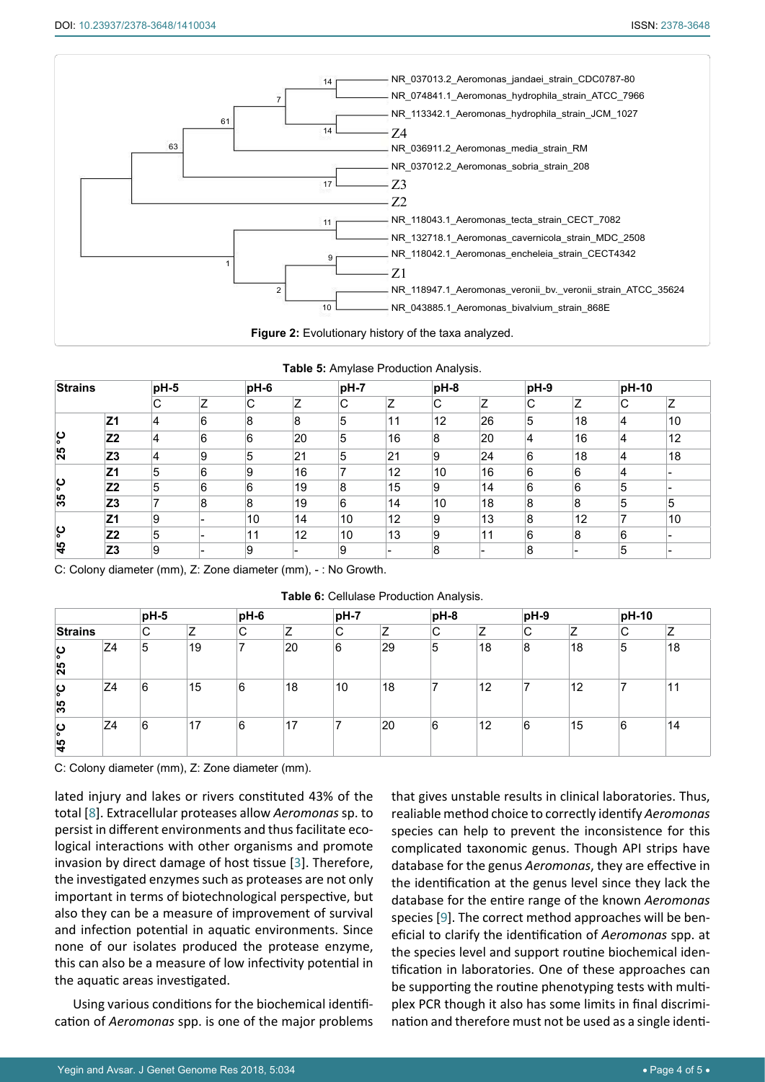<span id="page-3-0"></span>

<span id="page-3-1"></span>

|  |  |  | Table 5: Amylase Production Analysis. |  |
|--|--|--|---------------------------------------|--|
|--|--|--|---------------------------------------|--|

| <b>Strains</b> |                | pH-5 |   | pH-6 |    |    |    | pH-8 |    | pH-9 |    | pH-10 |    |
|----------------|----------------|------|---|------|----|----|----|------|----|------|----|-------|----|
|                |                | С    | 7 | C    | Z  | C  | Z  | С    | Z  | С    |    | IС    | Z  |
|                | Z <sub>1</sub> | 4    | 6 | 8    | 8  | 5  | 11 | 12   | 26 | 5    | 18 | 4     | 10 |
| ပ္စ            | Z <sub>2</sub> | 4    | 6 | 6    | 20 | 5  | 16 | 8    | 20 | 4    | 16 | 4     | 12 |
| 25             | Z3             | 4    | 9 | 5    | 21 | 5  | 21 | 9    | 24 | 6    | 18 | 4     | 18 |
|                | Z <sub>1</sub> | 5    | 6 | 9    | 16 |    | 12 | 10   | 16 | 6    | 6  | 4     |    |
| ပ္စ            | Z <sub>2</sub> | 5    | 6 | 6    | 19 | 8  | 15 | 9    | 14 | 6    | 6  | 5     |    |
| 35             | Z <sub>3</sub> | 7    | 8 | 8    | 19 | 6  | 14 | 10   | 18 | 8    | 8  | 5     | 5  |
|                | Z <sub>1</sub> | 9    |   | 10   | 14 | 10 | 12 | 9    | 13 | 8    | 12 | 7     | 10 |
| ပ္စ            | Z <sub>2</sub> | 5    |   | 11   | 12 | 10 | 13 | 9    | 11 | 6    | 8  | 6     |    |
| 45             | Z <sub>3</sub> | 9    |   | 9    |    | 9  |    | 8    |    | 8    |    | 5     |    |

C: Colony diameter (mm), Z: Zone diameter (mm), - : No Growth.

<span id="page-3-2"></span>

| <b>Table 6: Cellulase Production Analysis.</b> |  |
|------------------------------------------------|--|
|------------------------------------------------|--|

|                      |                | pH-5<br>pH-6 |    | pH-7<br>$pH-8$ |                     | pH-9        |    | pH-10 |    |   |    |   |    |
|----------------------|----------------|--------------|----|----------------|---------------------|-------------|----|-------|----|---|----|---|----|
| <b>Strains</b>       |                | $\sim$<br>◡  | 7  | C              | $\overline{z}$<br>∸ | $\sim$<br>◡ | 7  | C     | 7  | C | Z  | C | Ζ  |
| ပ္စ<br>25            | Z4             | 5            | 19 |                | 20                  | 6           | 29 | 5     | 18 | 8 | 18 | 5 | 18 |
| ပ္စ<br>35            | Z4             | 6            | 15 | 6              | 18                  | 10          | 18 |       | 12 |   | 12 |   | 11 |
| ပ္စ<br>$\frac{4}{5}$ | Z <sub>4</sub> | 6            | 17 | 6              | 17                  | -           | 20 | 6     | 12 | 6 | 15 | 6 | 14 |

C: Colony diameter (mm), Z: Zone diameter (mm).

lated injury and lakes or rivers constituted 43% of the total [[8](#page-4-7)]. Extracellular proteases allow *Aeromonas* sp. to persist in different environments and thus facilitate ecological interactions with other organisms and promote invasion by direct damage of host tissue [[3\]](#page-4-2). Therefore, the investigated enzymes such as proteases are not only important in terms of biotechnological perspective, but also they can be a measure of improvement of survival and infection potential in aquatic environments. Since none of our isolates produced the protease enzyme, this can also be a measure of low infectivity potential in the aquatic areas investigated.

Using various conditions for the biochemical identification of *Aeromonas* spp. is one of the major problems that gives unstable results in clinical laboratories. Thus, realiable method choice to correctly identify *Aeromonas* species can help to prevent the inconsistence for this complicated taxonomic genus. Though API strips have database for the genus *Aeromonas*, they are effective in the identification at the genus level since they lack the database for the entire range of the known *Aeromonas* species [[9](#page-4-8)]. The correct method approaches will be beneficial to clarify the identification of *Aeromonas* spp. at the species level and support routine biochemical identification in laboratories. One of these approaches can be supporting the routine phenotyping tests with multiplex PCR though it also has some limits in final discrimination and therefore must not be used as a single identi